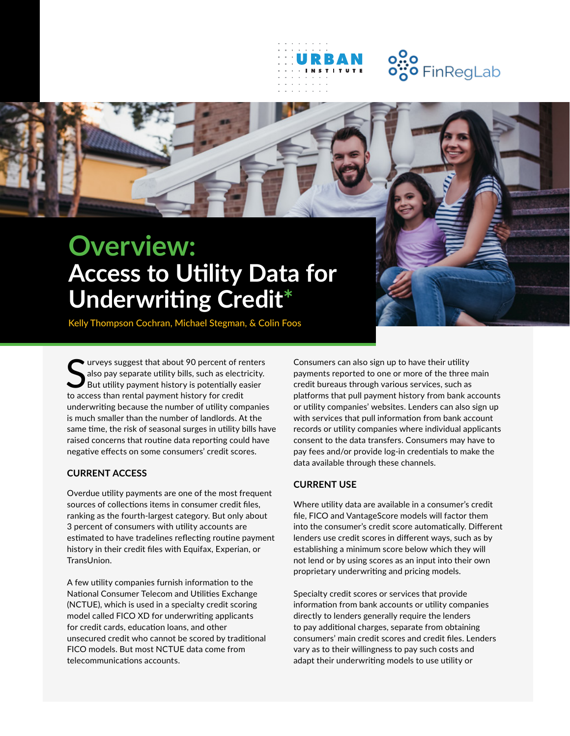

# **Overview: Access to Utility Data for Underwriting Credit\***

Kelly Thompson Cochran, Michael Stegman, & Colin Foos

Surveys suggest that about 90 percent of reals also pay separate utility bills, such as electrically exponent history is potentially exponent history for credit urveys suggest that about 90 percent of renters also pay separate utility bills, such as electricity. But utility payment history is potentially easier underwriting because the number of utility companies is much smaller than the number of landlords. At the same time, the risk of seasonal surges in utility bills have raised concerns that routine data reporting could have negative effects on some consumers' credit scores.

#### **CURRENT ACCESS**

Overdue utility payments are one of the most frequent sources of collections items in consumer credit files, ranking as the fourth-largest category. But only about 3 percent of consumers with utility accounts are estimated to have tradelines reflecting routine payment history in their credit files with Equifax, Experian, or TransUnion.

A few utility companies furnish information to the National Consumer Telecom and Utilities Exchange (NCTUE), which is used in a specialty credit scoring model called FICO XD for underwriting applicants for credit cards, education loans, and other unsecured credit who cannot be scored by traditional FICO models. But most NCTUE data come from telecommunications accounts.

Consumers can also sign up to have their utility payments reported to one or more of the three main credit bureaus through various services, such as platforms that pull payment history from bank accounts or utility companies' websites. Lenders can also sign up with services that pull information from bank account records or utility companies where individual applicants consent to the data transfers. Consumers may have to pay fees and/or provide log-in credentials to make the data available through these channels.

#### **CURRENT USE**

Where utility data are available in a consumer's credit file, FICO and VantageScore models will factor them into the consumer's credit score automatically. Different lenders use credit scores in different ways, such as by establishing a minimum score below which they will not lend or by using scores as an input into their own proprietary underwriting and pricing models.

Specialty credit scores or services that provide information from bank accounts or utility companies directly to lenders generally require the lenders to pay additional charges, separate from obtaining consumers' main credit scores and credit files. Lenders vary as to their willingness to pay such costs and adapt their underwriting models to use utility or